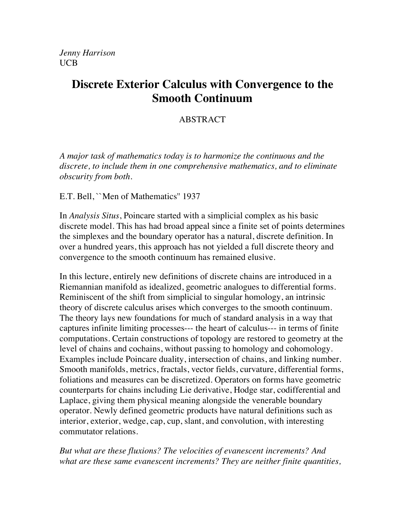*Jenny Harrison* UCB

## **Discrete Exterior Calculus with Convergence to the Smooth Continuum**

## ABSTRACT

*A major task of mathematics today is to harmonize the continuous and the discrete, to include them in one comprehensive mathematics, and to eliminate obscurity from both*.

E.T. Bell, ``Men of Mathematics'' 1937

In *Analysis Situs*, Poincare started with a simplicial complex as his basic discrete model. This has had broad appeal since a finite set of points determines the simplexes and the boundary operator has a natural, discrete definition. In over a hundred years, this approach has not yielded a full discrete theory and convergence to the smooth continuum has remained elusive.

In this lecture, entirely new definitions of discrete chains are introduced in a Riemannian manifold as idealized, geometric analogues to differential forms. Reminiscent of the shift from simplicial to singular homology, an intrinsic theory of discrete calculus arises which converges to the smooth continuum. The theory lays new foundations for much of standard analysis in a way that captures infinite limiting processes--- the heart of calculus--- in terms of finite computations. Certain constructions of topology are restored to geometry at the level of chains and cochains, without passing to homology and cohomology. Examples include Poincare duality, intersection of chains, and linking number. Smooth manifolds, metrics, fractals, vector fields, curvature, differential forms, foliations and measures can be discretized. Operators on forms have geometric counterparts for chains including Lie derivative, Hodge star, codifferential and Laplace, giving them physical meaning alongside the venerable boundary operator. Newly defined geometric products have natural definitions such as interior, exterior, wedge, cap, cup, slant, and convolution, with interesting commutator relations.

*But what are these fluxions? The velocities of evanescent increments? And what are these same evanescent increments? They are neither finite quantities,*